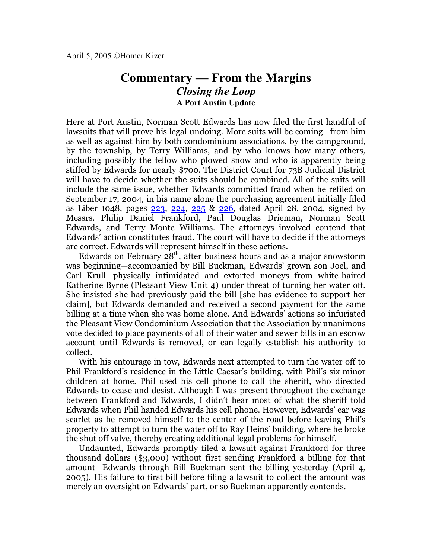## **Commentary — From the Margins** *Closing the Loop* **A Port Austin Update**

Here at Port Austin, Norman Scott Edwards has now filed the first handful of lawsuits that will prove his legal undoing. More suits will be coming—from him as well as against him by both condominium associations, by the campground, by the township, by Terry Williams, and by who knows how many others, including possibly the fellow who plowed snow and who is apparently being stiffed by Edwards for nearly \$700. The District Court for 73B Judicial District will have to decide whether the suits should be combined. All of the suits will include the same issue, whether Edwards committed fraud when he refiled on September 17, 2004, in his name alone the purchasing agreement initially filed as Liber 1048, pages [223](http://homerkizer.org/ALC%201048-223.pdf), [224](http://homerkizer.org/ALC%201048-224.pdf), [225](http://homerkizer.org/ALC%201048-225.pdf) & [226](http://homerkizer.org/ALC%201048-226.pdf), dated April 28, 2004, signed by Messrs. Philip Daniel Frankford, Paul Douglas Drieman, Norman Scott Edwards, and Terry Monte Williams. The attorneys involved contend that Edwards' action constitutes fraud. The court will have to decide if the attorneys are correct. Edwards will represent himself in these actions.

Edwards on February  $28<sup>th</sup>$ , after business hours and as a major snowstorm was beginning—accompanied by Bill Buckman, Edwards' grown son Joel, and Carl Krull—physically intimidated and extorted moneys from white-haired Katherine Byrne (Pleasant View Unit 4) under threat of turning her water off. She insisted she had previously paid the bill [she has evidence to support her claim], but Edwards demanded and received a second payment for the same billing at a time when she was home alone. And Edwards' actions so infuriated the Pleasant View Condominium Association that the Association by unanimous vote decided to place payments of all of their water and sewer bills in an escrow account until Edwards is removed, or can legally establish his authority to collect.

With his entourage in tow, Edwards next attempted to turn the water off to Phil Frankford's residence in the Little Caesar's building, with Phil's six minor children at home. Phil used his cell phone to call the sheriff, who directed Edwards to cease and desist. Although I was present throughout the exchange between Frankford and Edwards, I didn't hear most of what the sheriff told Edwards when Phil handed Edwards his cell phone. However, Edwards' ear was scarlet as he removed himself to the center of the road before leaving Phil's property to attempt to turn the water off to Ray Heins' building, where he broke the shut off valve, thereby creating additional legal problems for himself.

Undaunted, Edwards promptly filed a lawsuit against Frankford for three thousand dollars (\$3,000) without first sending Frankford a billing for that amount—Edwards through Bill Buckman sent the billing yesterday (April 4, 2005). His failure to first bill before filing a lawsuit to collect the amount was merely an oversight on Edwards' part, or so Buckman apparently contends.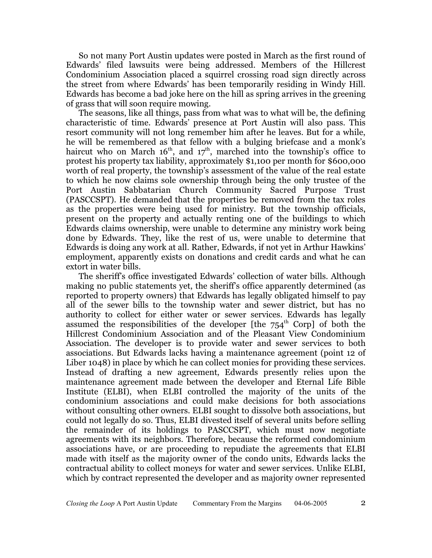So not many Port Austin updates were posted in March as the first round of Edwards' filed lawsuits were being addressed. Members of the Hillcrest Condominium Association placed a squirrel crossing road sign directly across the street from where Edwards' has been temporarily residing in Windy Hill. Edwards has become a bad joke here on the hill as spring arrives in the greening of grass that will soon require mowing.

The seasons, like all things, pass from what was to what will be, the defining characteristic of time. Edwards' presence at Port Austin will also pass. This resort community will not long remember him after he leaves. But for a while, he will be remembered as that fellow with a bulging briefcase and a monk's haircut who on March 16<sup>th</sup>, and 17<sup>th</sup>, marched into the township's office to protest his property tax liability, approximately \$1,100 per month for \$600,000 worth of real property, the township's assessment of the value of the real estate to which he now claims sole ownership through being the only trustee of the Port Austin Sabbatarian Church Community Sacred Purpose Trust (PASCCSPT). He demanded that the properties be removed from the tax roles as the properties were being used for ministry. But the township officials, present on the property and actually renting one of the buildings to which Edwards claims ownership, were unable to determine any ministry work being done by Edwards. They, like the rest of us, were unable to determine that Edwards is doing any work at all. Rather, Edwards, if not yet in Arthur Hawkins' employment, apparently exists on donations and credit cards and what he can extort in water bills.

The sheriff's office investigated Edwards' collection of water bills. Although making no public statements yet, the sheriff's office apparently determined (as reported to property owners) that Edwards has legally obligated himself to pay all of the sewer bills to the township water and sewer district, but has no authority to collect for either water or sewer services. Edwards has legally assumed the responsibilities of the developer [the  $754^{\text{th}}$  Corp] of both the Hillcrest Condominium Association and of the Pleasant View Condominium Association. The developer is to provide water and sewer services to both associations. But Edwards lacks having a maintenance agreement (point 12 of Liber 1048) in place by which he can collect monies for providing these services. Instead of drafting a new agreement, Edwards presently relies upon the maintenance agreement made between the developer and Eternal Life Bible Institute (ELBI), when ELBI controlled the majority of the units of the condominium associations and could make decisions for both associations without consulting other owners. ELBI sought to dissolve both associations, but could not legally do so. Thus, ELBI divested itself of several units before selling the remainder of its holdings to PASCCSPT, which must now negotiate agreements with its neighbors. Therefore, because the reformed condominium associations have, or are proceeding to repudiate the agreements that ELBI made with itself as the majority owner of the condo units, Edwards lacks the contractual ability to collect moneys for water and sewer services. Unlike ELBI, which by contract represented the developer and as majority owner represented